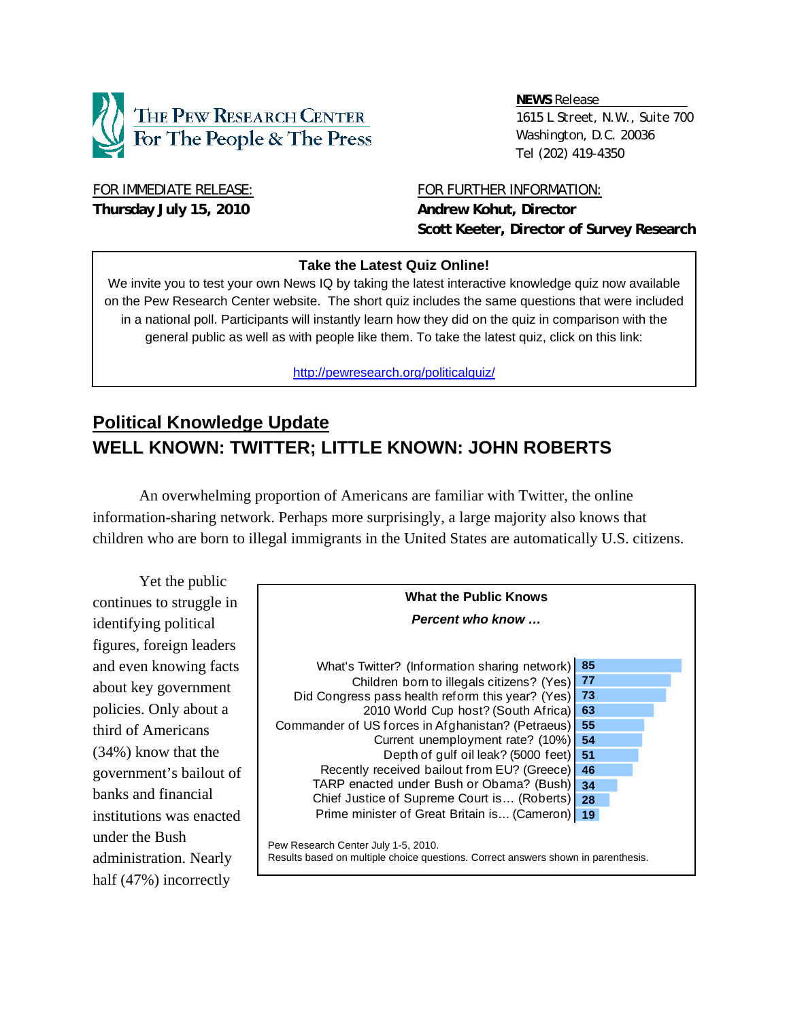

 *NEWS Release . 1615 L Street, N.W., Suite 700 Washington, D.C. 20036 Tel (202) 419-4350* 

FOR IMMEDIATE RELEASE: FOR FURTHER INFORMATION: Thursday July 15, 2010 **Andrew Kohut, Director Scott Keeter, Director of Survey Research** 

# **Take the Latest Quiz Online!**

We invite you to test your own News IQ by taking the latest interactive knowledge quiz now available on the Pew Research Center website. The short quiz includes the same questions that were included in a national poll. Participants will instantly learn how they did on the quiz in comparison with the general public as well as with people like them. To take the latest quiz, click on this link:

http://pewresearch.org/politicalquiz/

# **Political Knowledge Update WELL KNOWN: TWITTER; LITTLE KNOWN: JOHN ROBERTS**

An overwhelming proportion of Americans are familiar with Twitter, the online information-sharing network. Perhaps more surprisingly, a large majority also knows that children who are born to illegal immigrants in the United States are automatically U.S. citizens.

 Yet the public continues to struggle in identifying political figures, foreign leaders and even knowing facts about key government policies. Only about a third of Americans (34%) know that the government's bailout of banks and financial institutions was enacted under the Bush administration. Nearly half (47%) incorrectly

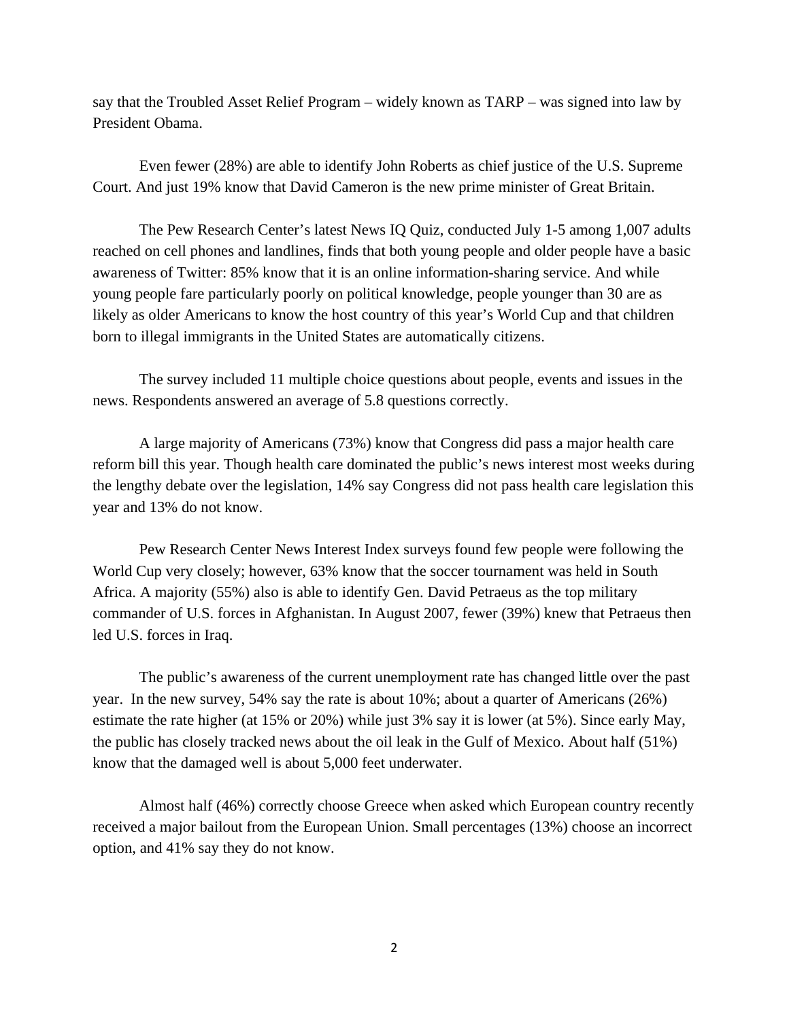say that the Troubled Asset Relief Program – widely known as TARP – was signed into law by President Obama.

 Even fewer (28%) are able to identify John Roberts as chief justice of the U.S. Supreme Court. And just 19% know that David Cameron is the new prime minister of Great Britain.

 The Pew Research Center's latest News IQ Quiz, conducted July 1-5 among 1,007 adults reached on cell phones and landlines, finds that both young people and older people have a basic awareness of Twitter: 85% know that it is an online information-sharing service. And while young people fare particularly poorly on political knowledge, people younger than 30 are as likely as older Americans to know the host country of this year's World Cup and that children born to illegal immigrants in the United States are automatically citizens.

The survey included 11 multiple choice questions about people, events and issues in the news. Respondents answered an average of 5.8 questions correctly.

 A large majority of Americans (73%) know that Congress did pass a major health care reform bill this year. Though health care dominated the public's news interest most weeks during the lengthy debate over the legislation, 14% say Congress did not pass health care legislation this year and 13% do not know.

 Pew Research Center News Interest Index surveys found few people were following the World Cup very closely; however, 63% know that the soccer tournament was held in South Africa. A majority (55%) also is able to identify Gen. David Petraeus as the top military commander of U.S. forces in Afghanistan. In August 2007, fewer (39%) knew that Petraeus then led U.S. forces in Iraq.

 The public's awareness of the current unemployment rate has changed little over the past year. In the new survey, 54% say the rate is about 10%; about a quarter of Americans (26%) estimate the rate higher (at 15% or 20%) while just 3% say it is lower (at 5%). Since early May, the public has closely tracked news about the oil leak in the Gulf of Mexico. About half (51%) know that the damaged well is about 5,000 feet underwater.

 Almost half (46%) correctly choose Greece when asked which European country recently received a major bailout from the European Union. Small percentages (13%) choose an incorrect option, and 41% say they do not know.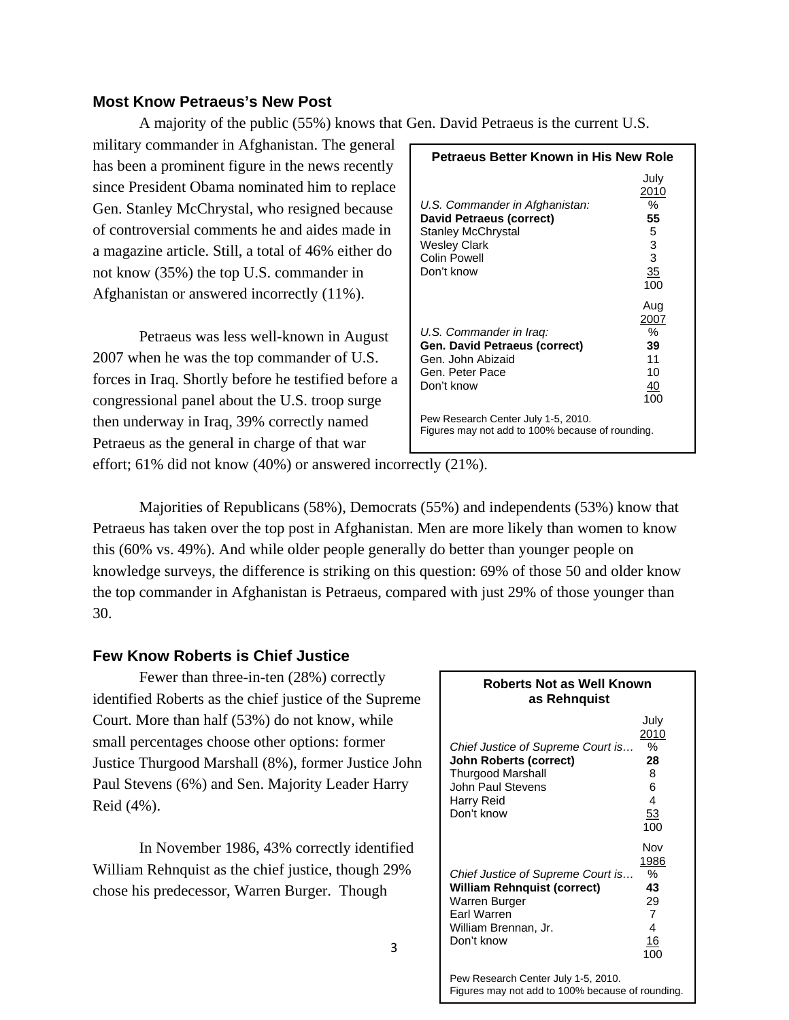# **Most Know Petraeus's New Post**

A majority of the public (55%) knows that Gen. David Petraeus is the current U.S.

military commander in Afghanistan. The general has been a prominent figure in the news recently since President Obama nominated him to replace Gen. Stanley McChrystal, who resigned because of controversial comments he and aides made in a magazine article. Still, a total of 46% either do not know (35%) the top U.S. commander in Afghanistan or answered incorrectly (11%).

 Petraeus was less well-known in August 2007 when he was the top commander of U.S. forces in Iraq. Shortly before he testified before a congressional panel about the U.S. troop surge then underway in Iraq, 39% correctly named Petraeus as the general in charge of that war

| Petraeus Better Known in His New Role                                                                                                 |                                                     |  |  |  |  |
|---------------------------------------------------------------------------------------------------------------------------------------|-----------------------------------------------------|--|--|--|--|
| U.S. Commander in Afghanistan:<br>David Petraeus (correct)<br>Stanley McChrystal<br><b>Wesley Clark</b><br>Colin Powell<br>Don't know | July<br>2010<br>℅<br>55<br>5<br>3<br>3<br>35<br>100 |  |  |  |  |
| U.S. Commander in Iraq:<br>Gen. David Petraeus (correct)<br>Gen. John Abizaid<br>Gen. Peter Pace<br>Don't know                        | Aug<br>2007<br>$\%$<br>39<br>11<br>10<br>40<br>100  |  |  |  |  |
| Pew Research Center July 1-5, 2010.<br>Figures may not add to 100% because of rounding.                                               |                                                     |  |  |  |  |

effort; 61% did not know (40%) or answered incorrectly (21%).

Majorities of Republicans (58%), Democrats (55%) and independents (53%) know that Petraeus has taken over the top post in Afghanistan. Men are more likely than women to know this (60% vs. 49%). And while older people generally do better than younger people on knowledge surveys, the difference is striking on this question: 69% of those 50 and older know the top commander in Afghanistan is Petraeus, compared with just 29% of those younger than 30.

### **Few Know Roberts is Chief Justice**

Fewer than three-in-ten (28%) correctly identified Roberts as the chief justice of the Supreme Court. More than half (53%) do not know, while small percentages choose other options: former Justice Thurgood Marshall (8%), former Justice John Paul Stevens (6%) and Sen. Majority Leader Harry Reid (4%).

 In November 1986, 43% correctly identified William Rehnquist as the chief justice, though 29% chose his predecessor, Warren Burger. Though

| Roberts Not as Well Known<br>as Rehnquist                                                                                                            |                                                                     |
|------------------------------------------------------------------------------------------------------------------------------------------------------|---------------------------------------------------------------------|
| Chief Justice of Supreme Court is<br><b>John Roberts (correct)</b><br><b>Thurgood Marshall</b><br>John Paul Stevens<br>Harry Reid<br>Don't know      | July<br>2010<br>%<br>28<br>8<br>6<br>4<br><u>53</u><br>100          |
| Chief Justice of Supreme Court is<br><b>William Rehnquist (correct)</b><br>Warren Burger<br><b>Farl Warren</b><br>William Brennan, Jr.<br>Don't know | Nov<br>1986<br>$\%$<br>43<br>29<br>$\overline{7}$<br>4<br>16<br>100 |
| Pew Research Center July 1-5, 2010.                                                                                                                  |                                                                     |

Figures may not add to 100% because of rounding.

3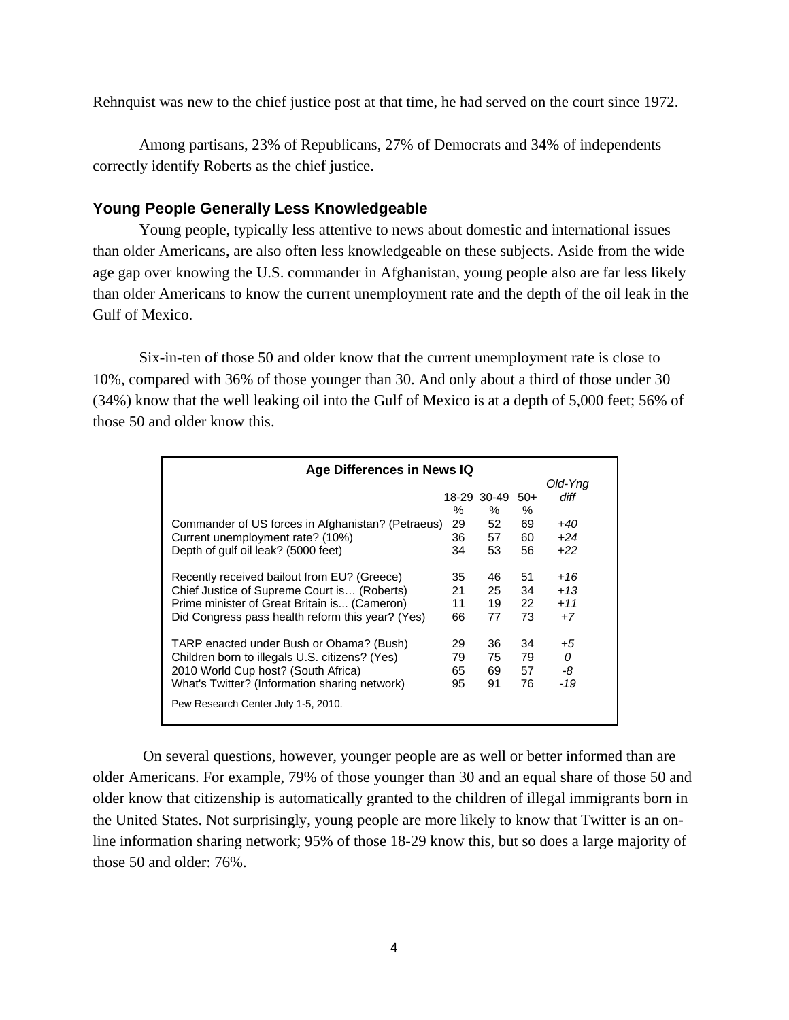Rehnquist was new to the chief justice post at that time, he had served on the court since 1972.

 Among partisans, 23% of Republicans, 27% of Democrats and 34% of independents correctly identify Roberts as the chief justice.

# **Young People Generally Less Knowledgeable**

 Young people, typically less attentive to news about domestic and international issues than older Americans, are also often less knowledgeable on these subjects. Aside from the wide age gap over knowing the U.S. commander in Afghanistan, young people also are far less likely than older Americans to know the current unemployment rate and the depth of the oil leak in the Gulf of Mexico.

Six-in-ten of those 50 and older know that the current unemployment rate is close to 10%, compared with 36% of those younger than 30. And only about a third of those under 30 (34%) know that the well leaking oil into the Gulf of Mexico is at a depth of 5,000 feet; 56% of those 50 and older know this.

| Age Differences in News IQ                        |         |                   |    |       |  |  |  |
|---------------------------------------------------|---------|-------------------|----|-------|--|--|--|
|                                                   | Old-Yng |                   |    |       |  |  |  |
|                                                   |         | $18-29$ 30-49 50+ |    | diff  |  |  |  |
|                                                   | $\%$    | $\%$              | ℅  |       |  |  |  |
| Commander of US forces in Afghanistan? (Petraeus) | 29      | 52                | 69 | +40   |  |  |  |
| Current unemployment rate? (10%)                  | 36      | 57                | 60 | $+24$ |  |  |  |
| Depth of gulf oil leak? (5000 feet)               | 34      | 53                | 56 | $+22$ |  |  |  |
|                                                   |         |                   |    |       |  |  |  |
| Recently received bailout from EU? (Greece)       | 35      | 46                | 51 | $+16$ |  |  |  |
| Chief Justice of Supreme Court is (Roberts)       | 21.     | 25                | 34 | $+13$ |  |  |  |
| Prime minister of Great Britain is (Cameron)      | 11      | 19                | 22 | $+11$ |  |  |  |
| Did Congress pass health reform this year? (Yes)  | 66      | 77                | 73 | $+7$  |  |  |  |
| TARP enacted under Bush or Obama? (Bush)          | 29      | 36                | 34 | +5    |  |  |  |
| Children born to illegals U.S. citizens? (Yes)    | 79      | 75                | 79 | 0     |  |  |  |
| 2010 World Cup host? (South Africa)               | 65      | 69                | 57 | -8    |  |  |  |
| What's Twitter? (Information sharing network)     | 95      | 91                | 76 | $-19$ |  |  |  |
| Pew Research Center July 1-5, 2010.               |         |                   |    |       |  |  |  |
|                                                   |         |                   |    |       |  |  |  |

 On several questions, however, younger people are as well or better informed than are older Americans. For example, 79% of those younger than 30 and an equal share of those 50 and older know that citizenship is automatically granted to the children of illegal immigrants born in the United States. Not surprisingly, young people are more likely to know that Twitter is an online information sharing network; 95% of those 18-29 know this, but so does a large majority of those 50 and older: 76%.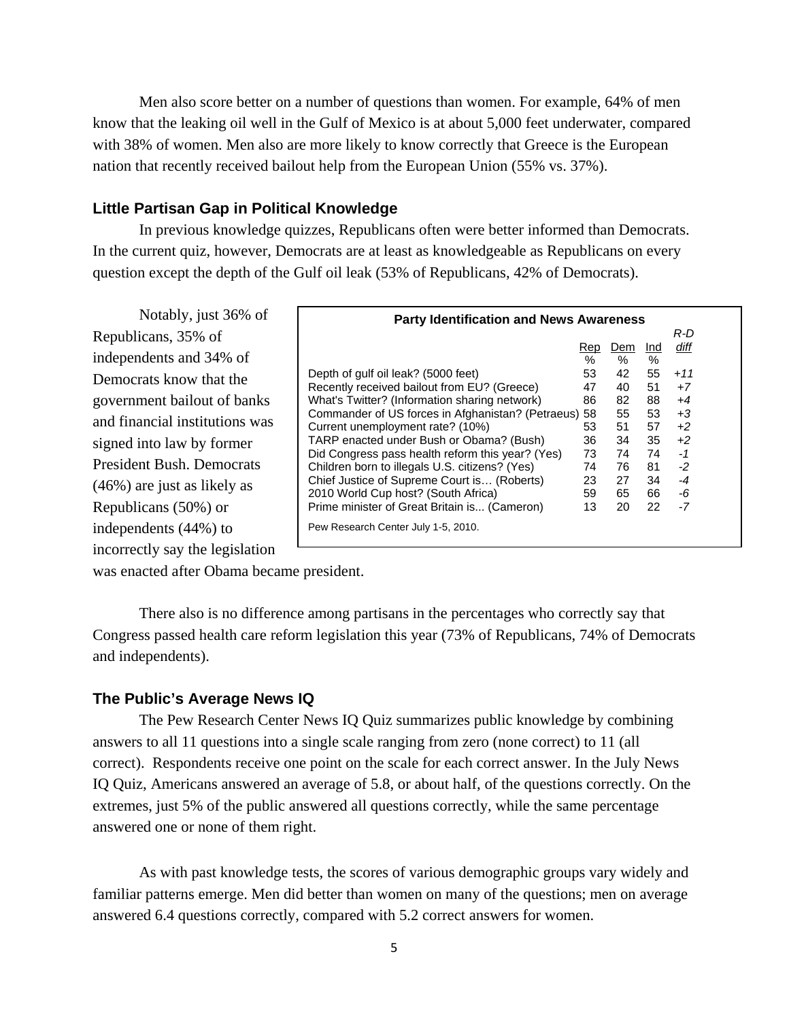Men also score better on a number of questions than women. For example, 64% of men know that the leaking oil well in the Gulf of Mexico is at about 5,000 feet underwater, compared with 38% of women. Men also are more likely to know correctly that Greece is the European nation that recently received bailout help from the European Union (55% vs. 37%).

## **Little Partisan Gap in Political Knowledge**

In previous knowledge quizzes, Republicans often were better informed than Democrats. In the current quiz, however, Democrats are at least as knowledgeable as Republicans on every question except the depth of the Gulf oil leak (53% of Republicans, 42% of Democrats).

Notably, just 36% of Republicans, 35% of independents and 34% of Democrats know that the government bailout of banks and financial institutions was signed into law by former President Bush. Democrats (46%) are just as likely as Republicans (50%) or independents (44%) to incorrectly say the legislation

| <b>Party Identification and News Awareness</b>       |      |     |     |       |  |  |  |
|------------------------------------------------------|------|-----|-----|-------|--|--|--|
|                                                      |      |     |     | R-D   |  |  |  |
|                                                      | Rep  | Dem | Ind | diff  |  |  |  |
|                                                      | $\%$ | %   | %   |       |  |  |  |
| Depth of gulf oil leak? (5000 feet)                  | 53   | 42  | 55  | $+11$ |  |  |  |
| Recently received bailout from EU? (Greece)          | 47   | 40  | 51  | $+7$  |  |  |  |
| What's Twitter? (Information sharing network)        | 86   | 82  | 88  | $+4$  |  |  |  |
| Commander of US forces in Afghanistan? (Petraeus) 58 |      | 55  | 53  | $+3$  |  |  |  |
| Current unemployment rate? (10%)                     | 53   | 51  | 57  | $+2$  |  |  |  |
| TARP enacted under Bush or Obama? (Bush)             | 36   | 34  | 35  | $+2$  |  |  |  |
| Did Congress pass health reform this year? (Yes)     | 73   | 74  | 74  | $-1$  |  |  |  |
| Children born to illegals U.S. citizens? (Yes)       | 74   | 76  | 81  | $-2$  |  |  |  |
| Chief Justice of Supreme Court is (Roberts)          | 23   | 27  | 34  | $-4$  |  |  |  |
| 2010 World Cup host? (South Africa)                  | 59   | 65  | 66  | -6    |  |  |  |
| Prime minister of Great Britain is (Cameron)         | 13   | 20  | 22  | -7    |  |  |  |
| Pew Research Center July 1-5, 2010.                  |      |     |     |       |  |  |  |
|                                                      |      |     |     |       |  |  |  |
|                                                      |      |     |     |       |  |  |  |

was enacted after Obama became president.

 There also is no difference among partisans in the percentages who correctly say that Congress passed health care reform legislation this year (73% of Republicans, 74% of Democrats and independents).

#### **The Public's Average News IQ**

The Pew Research Center News IQ Quiz summarizes public knowledge by combining answers to all 11 questions into a single scale ranging from zero (none correct) to 11 (all correct). Respondents receive one point on the scale for each correct answer. In the July News IQ Quiz, Americans answered an average of 5.8, or about half, of the questions correctly. On the extremes, just 5% of the public answered all questions correctly, while the same percentage answered one or none of them right.

As with past knowledge tests, the scores of various demographic groups vary widely and familiar patterns emerge. Men did better than women on many of the questions; men on average answered 6.4 questions correctly, compared with 5.2 correct answers for women.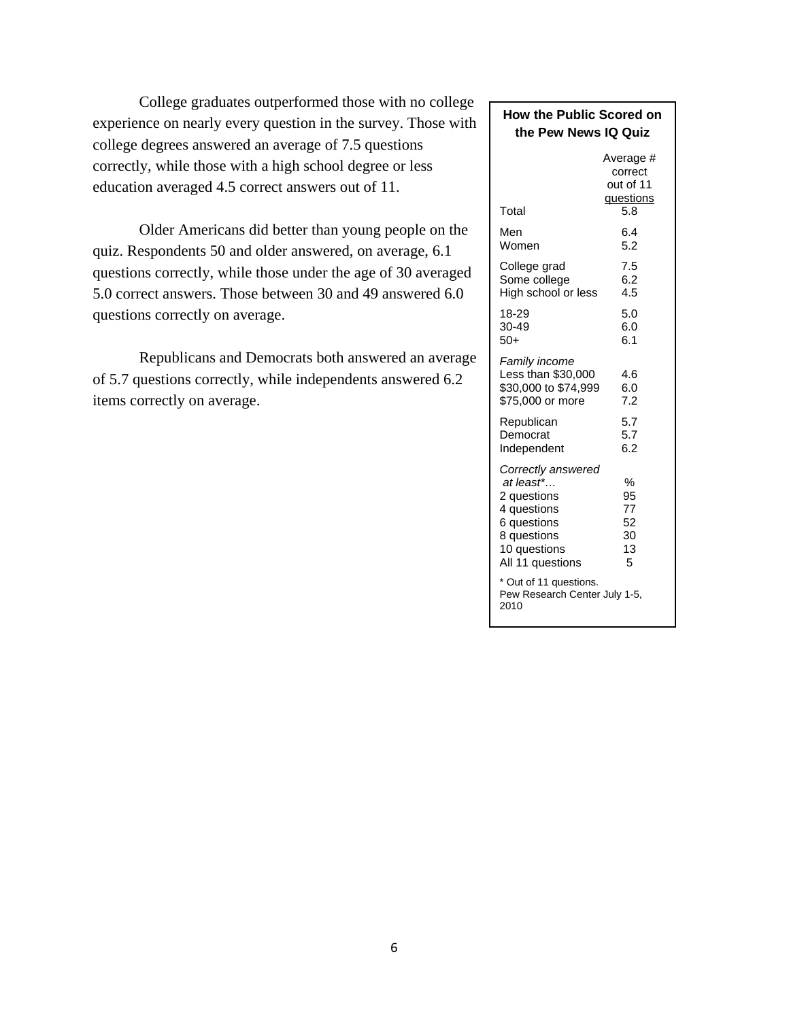College graduates outperformed those with no college experience on nearly every question in the survey. Those with college degrees answered an average of 7.5 questions correctly, while those with a high school degree or less education averaged 4.5 correct answers out of 11.

Older Americans did better than young people on the quiz. Respondents 50 and older answered, on average, 6.1 questions correctly, while those under the age of 30 averaged 5.0 correct answers. Those between 30 and 49 answered 6.0 questions correctly on average.

Republicans and Democrats both answered an average of 5.7 questions correctly, while independents answered 6.2 items correctly on average.

# **How the Public Scored on the Pew News IQ Quiz**

| Total                                                                                                                                                                                              | Average #<br>correct<br>out of 11<br>questions<br>5.8 |
|----------------------------------------------------------------------------------------------------------------------------------------------------------------------------------------------------|-------------------------------------------------------|
| Men                                                                                                                                                                                                | 6.4                                                   |
| Women                                                                                                                                                                                              | 5.2                                                   |
| College grad                                                                                                                                                                                       | 7.5                                                   |
| Some college                                                                                                                                                                                       | 6.2                                                   |
| High school or less                                                                                                                                                                                | 4.5                                                   |
| 18-29                                                                                                                                                                                              | 5.0                                                   |
| 30-49                                                                                                                                                                                              | 6.0                                                   |
| $50+$                                                                                                                                                                                              | 6.1                                                   |
| Family income<br>Less than \$30,000<br>\$30,000 to \$74,999<br>\$75,000 or more                                                                                                                    | 4.6<br>6.0<br>7.2                                     |
| Republican                                                                                                                                                                                         | 5.7                                                   |
| Democrat                                                                                                                                                                                           | 5.7                                                   |
| Independent                                                                                                                                                                                        | 6.2                                                   |
| Correctly answered<br>at least*<br>2 questions<br>4 questions<br>6 questions<br>8 questions<br>10 questions<br>All 11 questions<br>* Out of 11 questions.<br>Pew Research Center July 1-5,<br>2010 | %<br>95<br>77<br>52<br>30<br>13<br>5                  |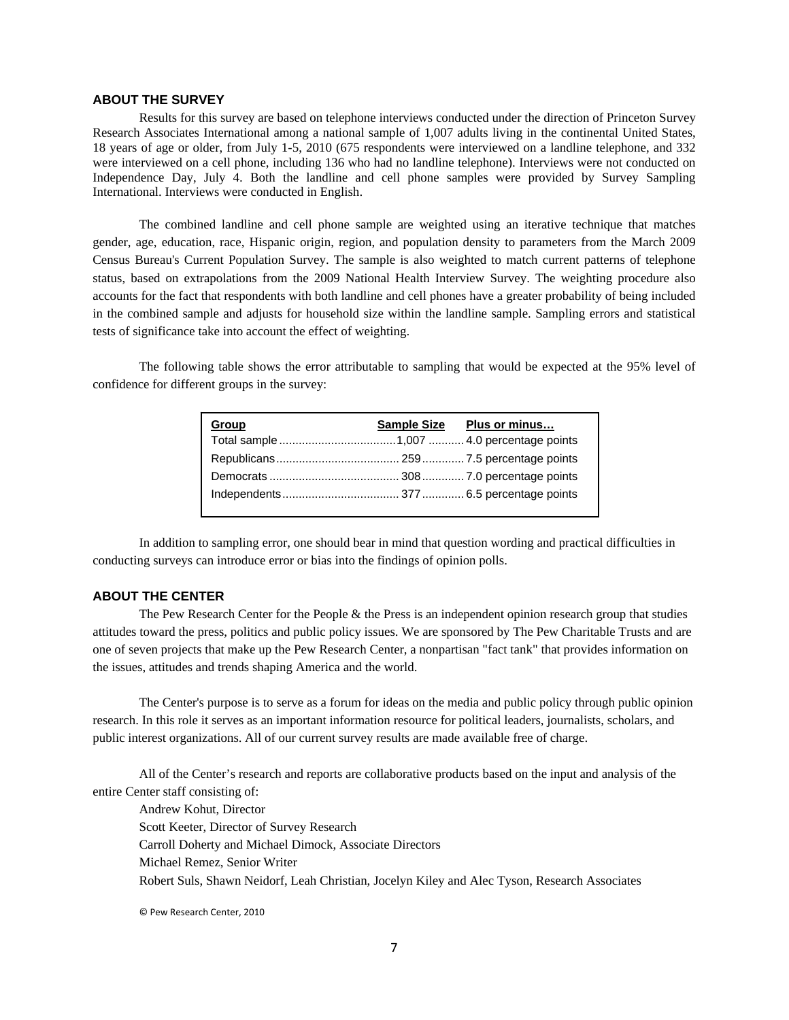#### **ABOUT THE SURVEY**

Results for this survey are based on telephone interviews conducted under the direction of Princeton Survey Research Associates International among a national sample of 1,007 adults living in the continental United States, 18 years of age or older, from July 1-5, 2010 (675 respondents were interviewed on a landline telephone, and 332 were interviewed on a cell phone, including 136 who had no landline telephone). Interviews were not conducted on Independence Day, July 4. Both the landline and cell phone samples were provided by Survey Sampling International. Interviews were conducted in English.

The combined landline and cell phone sample are weighted using an iterative technique that matches gender, age, education, race, Hispanic origin, region, and population density to parameters from the March 2009 Census Bureau's Current Population Survey. The sample is also weighted to match current patterns of telephone status, based on extrapolations from the 2009 National Health Interview Survey. The weighting procedure also accounts for the fact that respondents with both landline and cell phones have a greater probability of being included in the combined sample and adjusts for household size within the landline sample. Sampling errors and statistical tests of significance take into account the effect of weighting.

The following table shows the error attributable to sampling that would be expected at the 95% level of confidence for different groups in the survey:

| Group | Sample Size Plus or minus |
|-------|---------------------------|
|       |                           |
|       |                           |
|       |                           |
|       |                           |
|       |                           |

In addition to sampling error, one should bear in mind that question wording and practical difficulties in conducting surveys can introduce error or bias into the findings of opinion polls.

# **ABOUT THE CENTER**

 The Pew Research Center for the People & the Press is an independent opinion research group that studies attitudes toward the press, politics and public policy issues. We are sponsored by The Pew Charitable Trusts and are one of seven projects that make up the Pew Research Center, a nonpartisan "fact tank" that provides information on the issues, attitudes and trends shaping America and the world.

 The Center's purpose is to serve as a forum for ideas on the media and public policy through public opinion research. In this role it serves as an important information resource for political leaders, journalists, scholars, and public interest organizations. All of our current survey results are made available free of charge.

 All of the Center's research and reports are collaborative products based on the input and analysis of the entire Center staff consisting of:

 Andrew Kohut, Director Scott Keeter, Director of Survey Research Carroll Doherty and Michael Dimock, Associate Directors Michael Remez, Senior Writer Robert Suls, Shawn Neidorf, Leah Christian, Jocelyn Kiley and Alec Tyson, Research Associates

© Pew Research Center, <sup>2010</sup>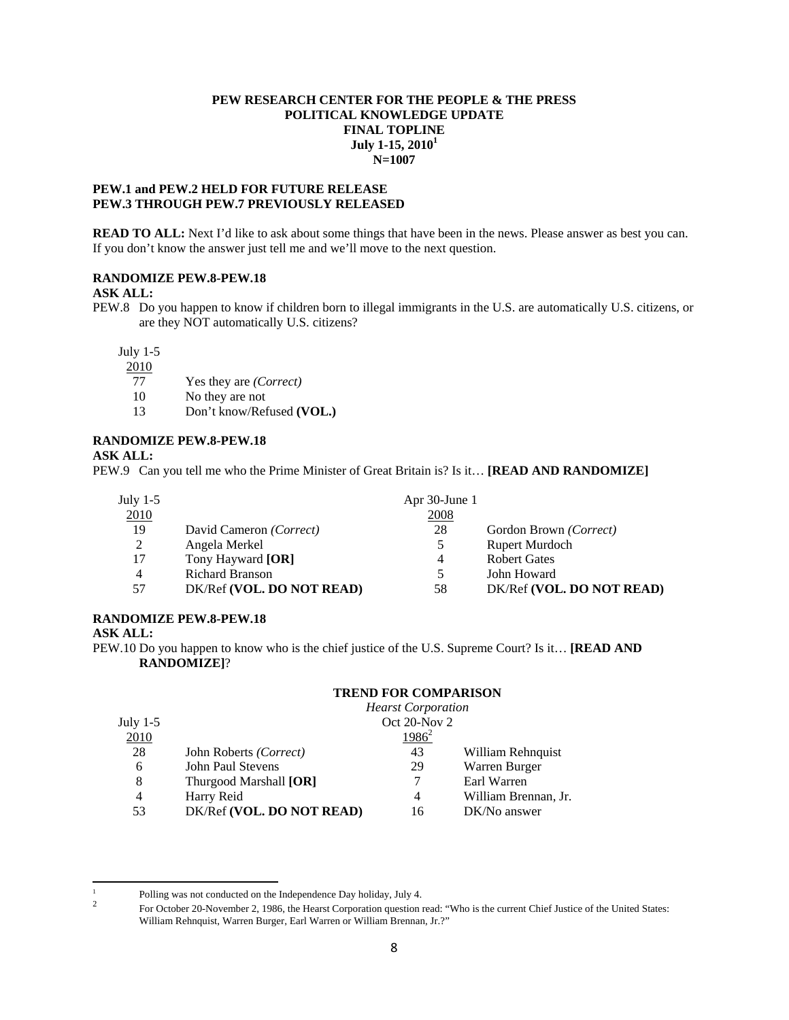## **PEW RESEARCH CENTER FOR THE PEOPLE & THE PRESS POLITICAL KNOWLEDGE UPDATE FINAL TOPLINE July 1-15, 20101 N=1007**

#### **PEW.1 and PEW.2 HELD FOR FUTURE RELEASE PEW.3 THROUGH PEW.7 PREVIOUSLY RELEASED**

**READ TO ALL:** Next I'd like to ask about some things that have been in the news. Please answer as best you can. If you don't know the answer just tell me and we'll move to the next question.

#### **RANDOMIZE PEW.8-PEW.18**

#### **ASK ALL:**

PEW.8 Do you happen to know if children born to illegal immigrants in the U.S. are automatically U.S. citizens, or are they NOT automatically U.S. citizens?

July 1-5

2010

- 77 Yes they are *(Correct)*
- 10 No they are not
- 13 Don't know/Refused **(VOL.)**

# **RANDOMIZE PEW.8-PEW.18**

**ASK ALL:** 

PEW.9 Can you tell me who the Prime Minister of Great Britain is? Is it… **[READ AND RANDOMIZE]** 

| July $1-5$     |                           | Apr $30$ -June 1 |                           |
|----------------|---------------------------|------------------|---------------------------|
| 2010           |                           | 2008             |                           |
| 19             | David Cameron (Correct)   | 28               | Gordon Brown (Correct)    |
| 2              | Angela Merkel             |                  | <b>Rupert Murdoch</b>     |
| 17             | Tony Hayward [OR]         | 4                | <b>Robert Gates</b>       |
| $\overline{4}$ | <b>Richard Branson</b>    |                  | John Howard               |
| 57             | DK/Ref (VOL. DO NOT READ) | 58               | DK/Ref (VOL. DO NOT READ) |

# **RANDOMIZE PEW.8-PEW.18**

#### **ASK ALL:**

PEW.10 Do you happen to know who is the chief justice of the U.S. Supreme Court? Is it… **[READ AND RANDOMIZE]**?

#### **TREND FOR COMPARISON**

|                |                           | <b>Hearst Corporation</b> |                      |
|----------------|---------------------------|---------------------------|----------------------|
| July $1-5$     |                           | Oct $20$ -Nov $2$         |                      |
| 2010           |                           | $1986^2$                  |                      |
| 28             | John Roberts (Correct)    | 43                        | William Rehnquist    |
| 6              | John Paul Stevens         | 29                        | Warren Burger        |
| 8              | Thurgood Marshall [OR]    |                           | Earl Warren          |
| $\overline{4}$ | Harry Reid                | 4                         | William Brennan, Jr. |
| 53             | DK/Ref (VOL. DO NOT READ) | 16                        | DK/No answer         |

<sup>1</sup> Polling was not conducted on the Independence Day holiday, July 4. 2

For October 20-November 2, 1986, the Hearst Corporation question read: "Who is the current Chief Justice of the United States: William Rehnquist, Warren Burger, Earl Warren or William Brennan, Jr.?"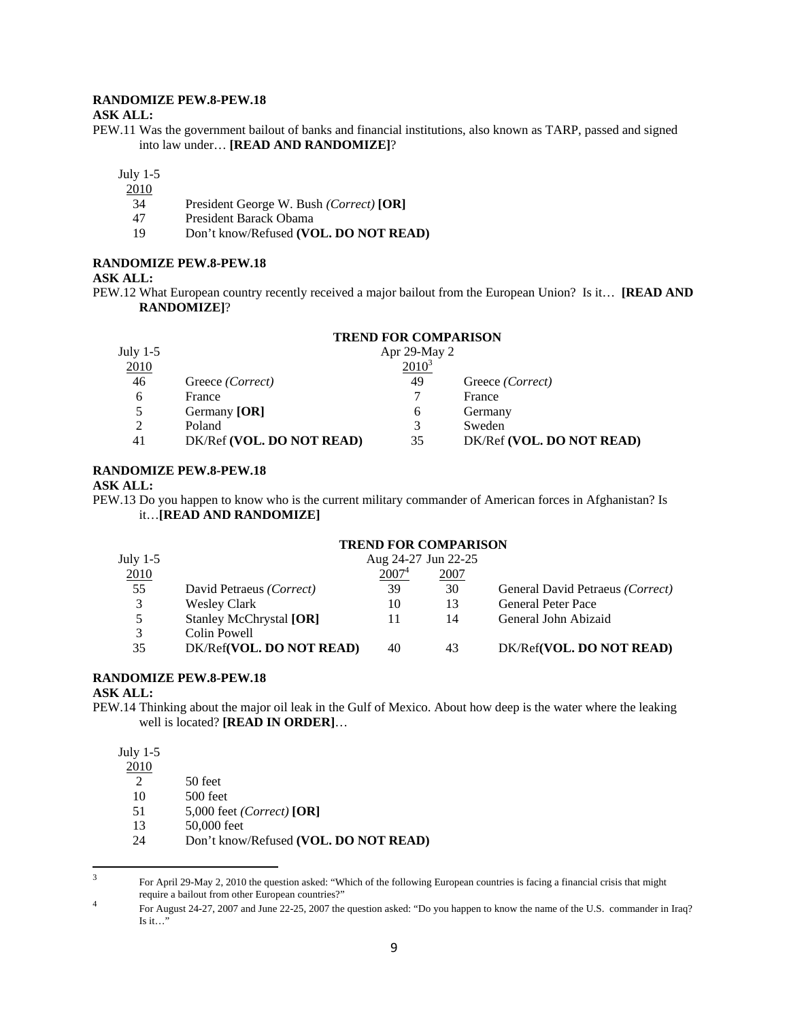#### **RANDOMIZE PEW.8-PEW.18**

#### **ASK ALL:**

PEW.11 Was the government bailout of banks and financial institutions, also known as TARP, passed and signed into law under… **[READ AND RANDOMIZE]**?

July 1-5

2010

- 34 President George W. Bush *(Correct)* **[OR]**
- 47 President Barack Obama<br>19 Don't know/Refused (VC
- 19 Don't know/Refused **(VOL. DO NOT READ)**

#### **RANDOMIZE PEW.8-PEW.18**

#### **ASK ALL:**

PEW.12 What European country recently received a major bailout from the European Union? Is it… **[READ AND RANDOMIZE]**?

#### **TREND FOR COMPARISON**

| July $1-5$ |                           | Apr 29-May 2 |                           |
|------------|---------------------------|--------------|---------------------------|
| 2010       |                           | $2010^3$     |                           |
| 46         | Greece <i>(Correct)</i>   | 49           | Greece <i>(Correct)</i>   |
| 6          | France                    |              | France                    |
|            | Germany [OR]              | 6            | Germany                   |
| 2          | Poland                    | 3            | Sweden                    |
| 41         | DK/Ref (VOL. DO NOT READ) | 35           | DK/Ref (VOL. DO NOT READ) |

#### **RANDOMIZE PEW.8-PEW.18**

#### **ASK ALL:**

PEW.13 Do you happen to know who is the current military commander of American forces in Afghanistan? Is it…**[READ AND RANDOMIZE]**

|            |                          |                     | <b>TREND FOR COMPARISON</b> |                                  |
|------------|--------------------------|---------------------|-----------------------------|----------------------------------|
| July $1-5$ |                          | Aug 24-27 Jun 22-25 |                             |                                  |
| 2010       |                          | $2007^4$            | 2007                        |                                  |
| 55         | David Petraeus (Correct) | 39                  | 30                          | General David Petraeus (Correct) |
| 3          | <b>Wesley Clark</b>      | 10                  | 13                          | <b>General Peter Pace</b>        |
| 5          | Stanley McChrystal [OR]  | 11                  | 14                          | General John Abizaid             |
| 3          | Colin Powell             |                     |                             |                                  |
| 35         | DK/Ref(VOL. DO NOT READ) | 40                  | 43                          | DK/Ref(VOL. DO NOT READ)         |
|            |                          |                     |                             |                                  |

# **RANDOMIZE PEW.8-PEW.18**

# **ASK ALL:**

PEW.14 Thinking about the major oil leak in the Gulf of Mexico. About how deep is the water where the leaking well is located? **[READ IN ORDER]**…

July 1-5

2010

2 50 feet

10 500 feet

- 51 5,000 feet *(Correct)* **[OR]**
- 13 50,000 feet

24 Don't know/Refused **(VOL. DO NOT READ)** 

<sup>3</sup> For April 29-May 2, 2010 the question asked: "Which of the following European countries is facing a financial crisis that might require a bailout from other European countries?"<br>
Fig. Appeal 22, 2007 and Integ 22, 25, 2007 the

For August 24-27, 2007 and June 22-25, 2007 the question asked: "Do you happen to know the name of the U.S. commander in Iraq? Is it…"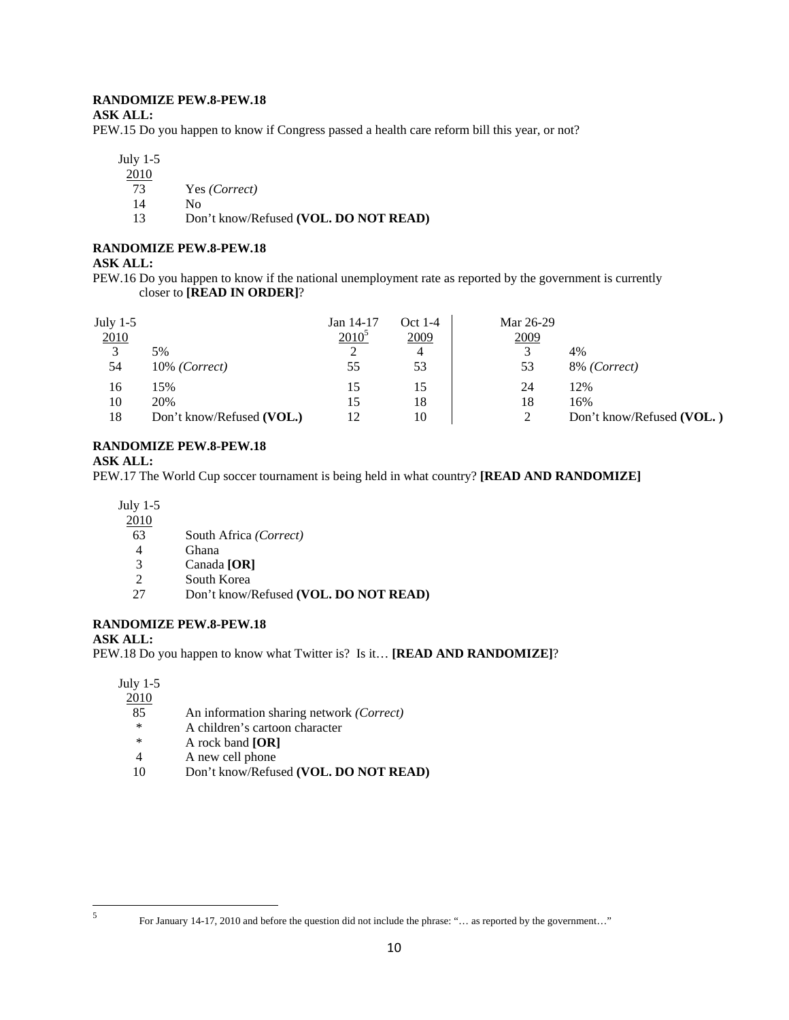#### **RANDOMIZE PEW.8-PEW.18**

#### **ASK ALL:**

PEW.15 Do you happen to know if Congress passed a health care reform bill this year, or not?

July 1-5

2010

- 73 Yes *(Correct)*
- 14 No
- 13 Don't know/Refused **(VOL. DO NOT READ)**

#### **RANDOMIZE PEW.8-PEW.18**

#### **ASK ALL:**

PEW.16 Do you happen to know if the national unemployment rate as reported by the government is currently closer to **[READ IN ORDER]**?

| July $1-5$<br>2010<br>$\overline{3}$<br>54 | 5%<br>$10\%$ (Correct)    | Jan 14-17<br>$2010^5$<br>55 | Oct 1-4<br>2009<br>$\overline{4}$<br>53 | Mar 26-29<br>2009<br>53 | 4%<br>8% (Correct)        |
|--------------------------------------------|---------------------------|-----------------------------|-----------------------------------------|-------------------------|---------------------------|
| 16                                         | 15%                       | 15                          | 15                                      | 24                      | 12%                       |
| 10                                         | 20%                       | 15                          | 18                                      | 18                      | 16%                       |
| 18                                         | Don't know/Refused (VOL.) | 12                          | 10                                      |                         | Don't know/Refused (VOL.) |

# **RANDOMIZE PEW.8-PEW.18**

#### **ASK ALL:**

PEW.17 The World Cup soccer tournament is being held in what country? **[READ AND RANDOMIZE]**

July 1-5

- 2010
- 63 South Africa *(Correct)*
- 4 Ghana
- 3 Canada **[OR]**
- 2 South Korea<br>27 Don't know
- Don't know/Refused **(VOL. DO NOT READ)**

## **RANDOMIZE PEW.8-PEW.18**

#### **ASK ALL:**

PEW.18 Do you happen to know what Twitter is? Is it… **[READ AND RANDOMIZE]**?

July 1-5

- 2010
	- 85 An information sharing network *(Correct)*
	- \* A children's cartoon character
	- \* A rock band **[OR]**
	- 4 A new cell phone
	- 10 Don't know/Refused **(VOL. DO NOT READ)**

 5

For January 14-17, 2010 and before the question did not include the phrase: "… as reported by the government…"